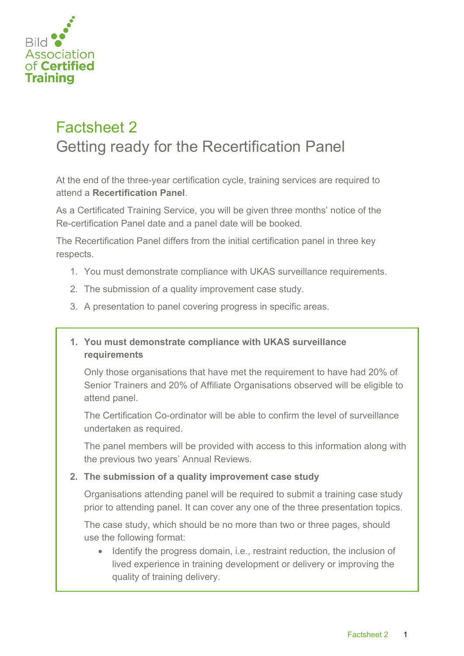

## Factsheet 2 Getting ready for the Recertification Panel

At the end of the three-year certification cycle, training services are required to attend a **Recertification Panel**.

As a Certificated Training Service, you will be given three months' notice of the Re-certification Panel date and a panel date will be booked.

The Recertification Panel differs from the initial certification panel in three key respects.

- 1. You must demonstrate compliance with UKAS surveillance requirements.
- 2. The submission of a quality improvement case study.
- 3. A presentation to panel covering progress in specific areas.
- **1. You must demonstrate compliance with UKAS surveillance requirements**

Only those organisations that have met the requirement to have had 20% of Senior Trainers and 20% of Affiliate Organisations observed will be eligible to attend panel.

The Certification Co-ordinator will be able to confirm the level of surveillance undertaken as required.

The panel members will be provided with access to this information along with the previous two years' Annual Reviews.

## **2. The submission of a quality improvement case study**

Organisations attending panel will be required to submit a training case study prior to attending panel. It can cover any one of the three presentation topics.

The case study, which should be no more than two or three pages, should use the following format:

• Identify the progress domain, i.e., restraint reduction, the inclusion of lived experience in training development or delivery or improving the quality of training delivery.